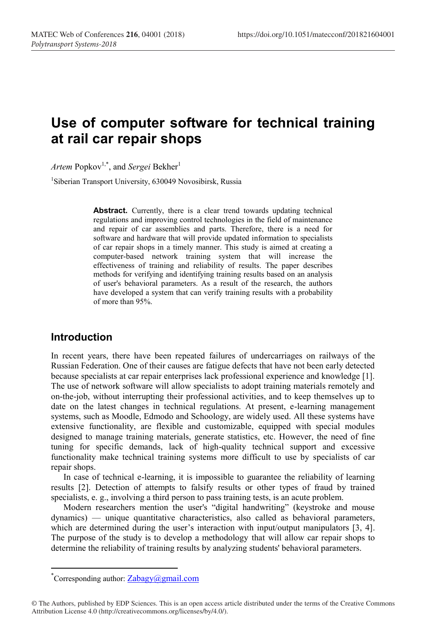# **Use of computer software for technical training at rail car repair shops**

Artem Popkov<sup>1,\*</sup>, and *Sergei* Bekher<sup>1</sup>

<sup>1</sup>Siberian Transport University, 630049 Novosibirsk, Russia

Abstract. Currently, there is a clear trend towards updating technical regulations and improving control technologies in the field of maintenance and repair of car assemblies and parts. Therefore, there is a need for software and hardware that will provide updated information to specialists of car repair shops in a timely manner. This study is aimed at creating a computer-based network training system that will increase the effectiveness of training and reliability of results. The paper describes methods for verifying and identifying training results based on an analysis of user's behavioral parameters. As a result of the research, the authors have developed a system that can verify training results with a probability of more than 95%.

## **Introduction**

In recent years, there have been repeated failures of undercarriages on railways of the Russian Federation. One of their causes are fatigue defects that have not been early detected because specialists at car repair enterprises lack professional experience and knowledge [1]. The use of network software will allow specialists to adopt training materials remotely and on-the-job, without interrupting their professional activities, and to keep themselves up to date on the latest changes in technical regulations. At present, e-learning management systems, such as Moodle, Edmodo and Schoology, are widely used. All these systems have extensive functionality, are flexible and customizable, equipped with special modules designed to manage training materials, generate statistics, etc. However, the need of fine tuning for specific demands, lack of high-quality technical support and excessive functionality make technical training systems more difficult to use by specialists of car repair shops.

In case of technical e-learning, it is impossible to guarantee the reliability of learning results [2]. Detection of attempts to falsify results or other types of fraud by trained specialists, e. g., involving a third person to pass training tests, is an acute problem.

Modern researchers mention the user's "digital handwriting" (keystroke and mouse dynamics) — unique quantitative characteristics, also called as behavioral parameters, which are determined during the user's interaction with input/output manipulators [3, 4]. The purpose of the study is to develop a methodology that will allow car repair shops to determine the reliability of training results by analyzing students' behavioral parameters.

 <sup>\*</sup> <sup>\*</sup>Corresponding author:  $Zabagy@gmail.com$ 

<sup>©</sup> The Authors, published by EDP Sciences. This is an open access article distributed under the terms of the Creative Commons Attribution License 4.0 (http://creativecommons.org/licenses/by/4.0/).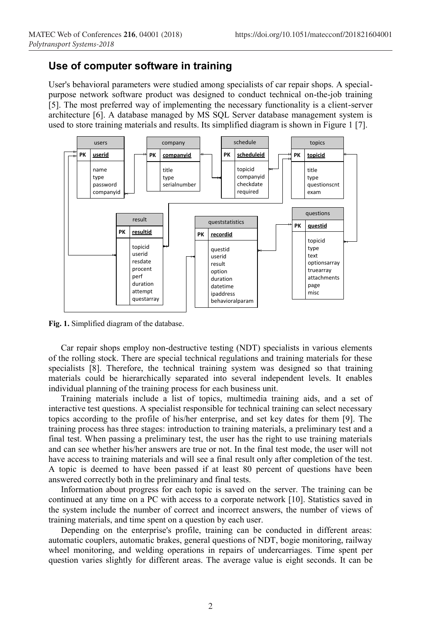### **Use of computer software in training**

User's behavioral parameters were studied among specialists of car repair shops. A specialpurpose network software product was designed to conduct technical on-the-job training [5]. The most preferred way of implementing the necessary functionality is a client-server architecture [6]. A database managed by MS SQL Server database management system is used to store training materials and results. Its simplified diagram is shown in Figure 1 [7].



**Fig. 1.** Simplified diagram of the database.

Car repair shops employ non-destructive testing (NDT) specialists in various elements of the rolling stock. There are special technical regulations and training materials for these specialists [8]. Therefore, the technical training system was designed so that training materials could be hierarchically separated into several independent levels. It enables individual planning of the training process for each business unit.

Training materials include a list of topics, multimedia training aids, and a set of interactive test questions. A specialist responsible for technical training can select necessary topics according to the profile of his/her enterprise, and set key dates for them [9]. The training process has three stages: introduction to training materials, a preliminary test and a final test. When passing a preliminary test, the user has the right to use training materials and can see whether his/her answers are true or not. In the final test mode, the user will not have access to training materials and will see a final result only after completion of the test. A topic is deemed to have been passed if at least 80 percent of questions have been answered correctly both in the preliminary and final tests.

Information about progress for each topic is saved on the server. The training can be continued at any time on a PC with access to a corporate network [10]. Statistics saved in the system include the number of correct and incorrect answers, the number of views of training materials, and time spent on a question by each user.

Depending on the enterprise's profile, training can be conducted in different areas: automatic couplers, automatic brakes, general questions of NDT, bogie monitoring, railway wheel monitoring, and welding operations in repairs of undercarriages. Time spent per question varies slightly for different areas. The average value is eight seconds. It can be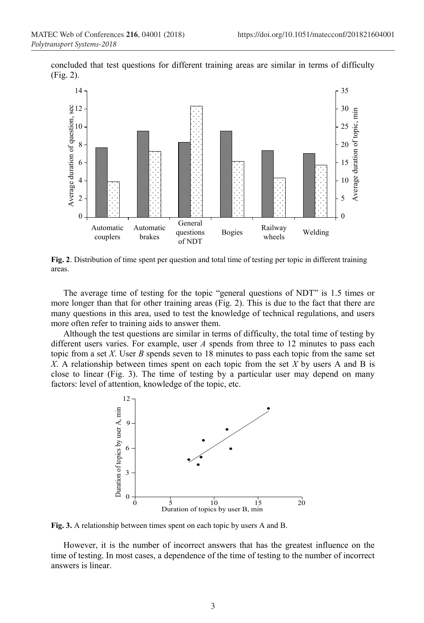concluded that test questions for different training areas are similar in terms of difficulty (Fig. 2).



**Fig. 2**. Distribution of time spent per question and total time of testing per topic in different training areas.

The average time of testing for the topic "general questions of NDT" is 1.5 times or more longer than that for other training areas (Fig. 2). This is due to the fact that there are many questions in this area, used to test the knowledge of technical regulations, and users more often refer to training aids to answer them.

Although the test questions are similar in terms of difficulty, the total time of testing by different users varies. For example, user *A* spends from three to 12 minutes to pass each topic from a set *Х*. User *B* spends seven to 18 minutes to pass each topic from the same set *Х*. A relationship between times spent on each topic from the set *Х* by users A and B is close to linear (Fig. 3). The time of testing by a particular user may depend on many factors: level of attention, knowledge of the topic, etc.



**Fig. 3.** A relationship between times spent on each topic by users A and B.

However, it is the number of incorrect answers that has the greatest influence on the time of testing. In most cases, a dependence of the time of testing to the number of incorrect answers is linear.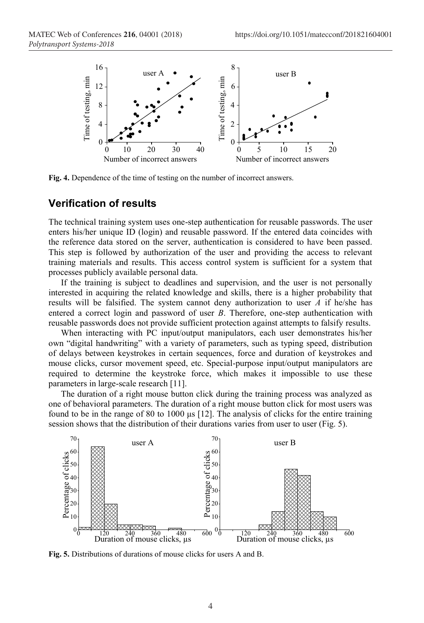

**Fig. 4.** Dependence of the time of testing on the number of incorrect answers.

#### **Verification of results**

The technical training system uses one-step authentication for reusable passwords. The user enters his/her unique ID (login) and reusable password. If the entered data coincides with the reference data stored on the server, authentication is considered to have been passed. This step is followed by authorization of the user and providing the access to relevant training materials and results. This access control system is sufficient for a system that processes publicly available personal data.

If the training is subject to deadlines and supervision, and the user is not personally interested in acquiring the related knowledge and skills, there is a higher probability that results will be falsified. The system cannot deny authorization to user *А* if he/she has entered a correct login and password of user *B*. Therefore, one-step authentication with reusable passwords does not provide sufficient protection against attempts to falsify results.

When interacting with PC input/output manipulators, each user demonstrates his/her own "digital handwriting" with a variety of parameters, such as typing speed, distribution of delays between keystrokes in certain sequences, force and duration of keystrokes and mouse clicks, cursor movement speed, etc. Special-purpose input/output manipulators are required to determine the keystroke force, which makes it impossible to use these parameters in large-scale research [11].

The duration of a right mouse button click during the training process was analyzed as one of behavioral parameters. The duration of a right mouse button click for most users was found to be in the range of 80 to 1000 μs [12]. The analysis of clicks for the entire training session shows that the distribution of their durations varies from user to user (Fig. 5).



**Fig. 5.** Distributions of durations of mouse clicks for users A and B.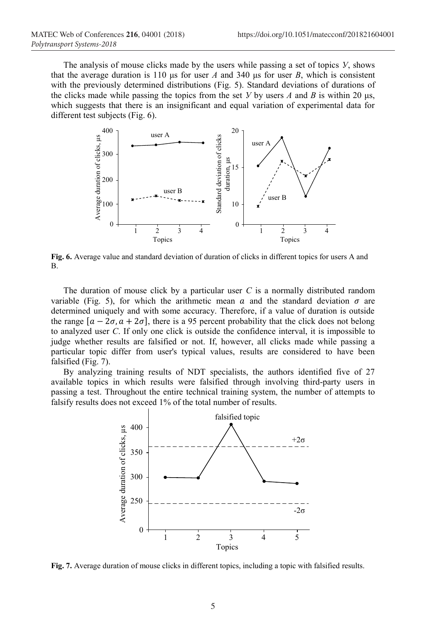The analysis of mouse clicks made by the users while passing a set of topics *У*, shows that the average duration is 110 μs for user *А* and 340 μs for user *B*, which is consistent with the previously determined distributions (Fig. 5). Standard deviations of durations of the clicks made while passing the topics from the set *Y* by users *A* and *B* is within 20  $\mu$ s, which suggests that there is an insignificant and equal variation of experimental data for different test subjects (Fig.  $6$ ).



Fig. 6. Average value and standard deviation of duration of clicks in different topics for users A and B.

The duration of mouse click by a particular user *С* is a normally distributed random variable (Fig. 5), for which the arithmetic mean  $\alpha$  and the standard deviation  $\sigma$  are determined uniquely and with some accuracy. Therefore, if a value of duration is outside the range  $[a - 2\sigma, a + 2\sigma]$ , there is a 95 percent probability that the click does not belong to analyzed user *С*. If only one click is outside the confidence interval, it is impossible to judge whether results are falsified or not. If, however, all clicks made while passing a particular topic differ from user's typical values, results are considered to have been falsified (Fig. 7).

By analyzing training results of NDT specialists, the authors identified five of 27 available topics in which results were falsified through involving third-party users in passing a test. Throughout the entire technical training system, the number of attempts to falsify results does not exceed 1% of the total number of results.



**Fig. 7.** Average duration of mouse clicks in different topics, including a topic with falsified results.